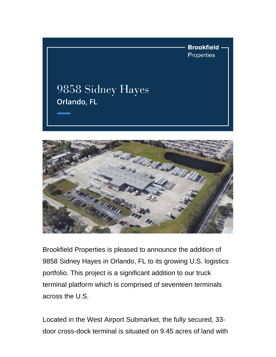



Brookfield Properties is pleased to announce the addition of 9858 Sidney Hayes in Orlando, FL to its growing U.S. logistics portfolio. This project is a significant addition to our truck terminal platform which is comprised of seventeen terminals across the U.S.

Located in the West Airport Submarket, the fully secured, 33 door cross-dock terminal is situated on 9.45 acres of land with